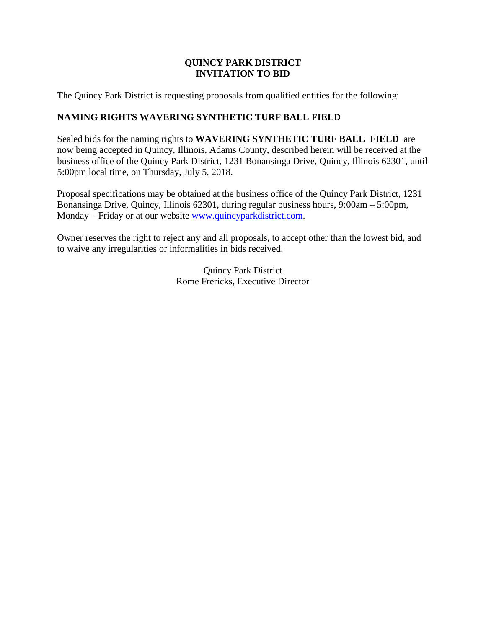## **QUINCY PARK DISTRICT INVITATION TO BID**

The Quincy Park District is requesting proposals from qualified entities for the following:

## **NAMING RIGHTS WAVERING SYNTHETIC TURF BALL FIELD**

Sealed bids for the naming rights to **WAVERING SYNTHETIC TURF BALL FIELD** are now being accepted in Quincy, Illinois, Adams County, described herein will be received at the business office of the Quincy Park District, 1231 Bonansinga Drive, Quincy, Illinois 62301, until 5:00pm local time, on Thursday, July 5, 2018.

Proposal specifications may be obtained at the business office of the Quincy Park District, 1231 Bonansinga Drive, Quincy, Illinois 62301, during regular business hours, 9:00am – 5:00pm, Monday – Friday or at our website [www.quincyparkdistrict.com.](http://www.quincyparkdistrict.com/)

Owner reserves the right to reject any and all proposals, to accept other than the lowest bid, and to waive any irregularities or informalities in bids received.

> Quincy Park District Rome Frericks, Executive Director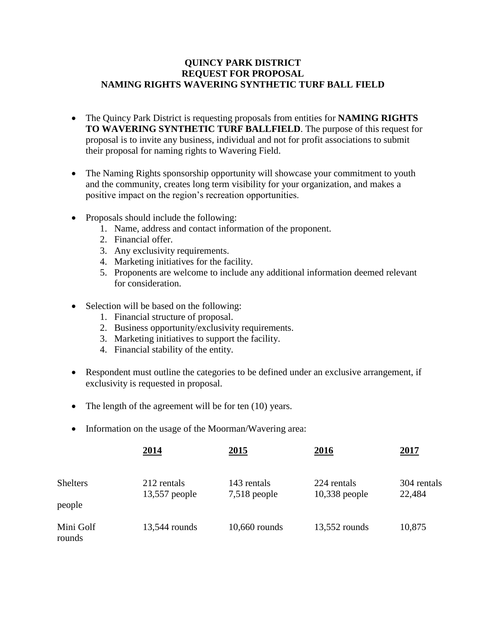## **QUINCY PARK DISTRICT REQUEST FOR PROPOSAL NAMING RIGHTS WAVERING SYNTHETIC TURF BALL FIELD**

- The Quincy Park District is requesting proposals from entities for **NAMING RIGHTS TO WAVERING SYNTHETIC TURF BALLFIELD**. The purpose of this request for proposal is to invite any business, individual and not for profit associations to submit their proposal for naming rights to Wavering Field.
- The Naming Rights sponsorship opportunity will showcase your commitment to youth and the community, creates long term visibility for your organization, and makes a positive impact on the region's recreation opportunities.
- Proposals should include the following:
	- 1. Name, address and contact information of the proponent.
	- 2. Financial offer.
	- 3. Any exclusivity requirements.
	- 4. Marketing initiatives for the facility.
	- 5. Proponents are welcome to include any additional information deemed relevant for consideration.
- Selection will be based on the following:
	- 1. Financial structure of proposal.
	- 2. Business opportunity/exclusivity requirements.
	- 3. Marketing initiatives to support the facility.
	- 4. Financial stability of the entity.
- Respondent must outline the categories to be defined under an exclusive arrangement, if exclusivity is requested in proposal.
- The length of the agreement will be for ten (10) years.
- Information on the usage of the Moorman/Wavering area:

|                           | 2014                           | 2015                          | 2016                           | 2017                  |
|---------------------------|--------------------------------|-------------------------------|--------------------------------|-----------------------|
| <b>Shelters</b><br>people | 212 rentals<br>$13,557$ people | 143 rentals<br>$7,518$ people | 224 rentals<br>$10,338$ people | 304 rentals<br>22,484 |
| Mini Golf<br>rounds       | $13,544$ rounds                | $10,660$ rounds               | $13,552$ rounds                | 10,875                |